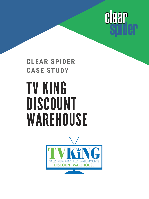

## TV KING DISCOUNT **WAREHOUSE CLEAR SPIDER CASE STUDY**

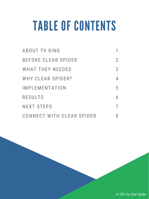# TABLE OF CONTENTS

| ABOUT TV KING             |   |
|---------------------------|---|
| BEFORE CLEAR SPIDER       | 2 |
| WHAT THEY NEEDED          | 3 |
| WHY CLEAR SPIDER?         |   |
| IMPLEMENTATION            | 5 |
| <b>RESULTS</b>            | 6 |
| <b>NEXT STEPS</b>         |   |
| CONNECT WITH CLEAR SPIDER |   |

© 2021 by Clear Spider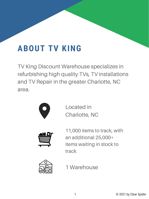### **ABOUT TV KING**

TV King Discount Warehouse specializes in refurbishing high quality TVs, TV installations and TV Repair in the greater Charlotte, NC area.



Located in Charlotte, NC



11,000 items to track, with an additional 25,000+ items waiting in stock to track



1 Warehouse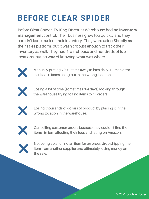## **BEFORE CLEAR SPIDER**

Before Clear Spider, TV King Discount Warehouse had **no inventory management** control**.** Their business grew too quickly and they couldn't keep track of their inventory. They were using Shopify as their sales platform, but it wasn't robust enough to track their inventory as well. They had 1 warehouse and hundreds of tub locations, but no way of knowing what was where.



Manually putting 200+ items away in bins daily. Human error resulted in items being put in the wrong locations.



Losing a lot of time (sometimes 3-4 days) looking through the warehouse trying to find items to fill orders.



Losing thousands of dollars of product by placing it in the wrong location in the warehouse.



Cancelling customer orders because they couldn't find the items, in turn affecting their fees and rating on Amazon.



Not being able to find an item for an order, drop shipping the item from another supplier and ultimately losing money on the sale.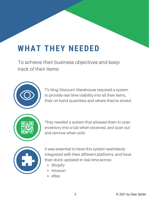### **WHAT THEY NEEDED**

To achieve their business objectives and keep track of their items:



TV King Discount Warehouse required a system to provide real time visibility into all their items, their on hand quantities and where they're stored.



They needed a system that allowed them to scan inventory into a tub when received, and scan out and remove when sold.



It was essential to have this system seamlessly integrated with their different platforms, and have their stock updated in real time across:

- Shopify  $\bullet$
- Amazon
- eBay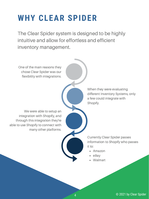### **WHY CLEAR SPIDER**

The Clear Spider system is designed to be highly intuitive and allow for effortless and efficient inventory management.

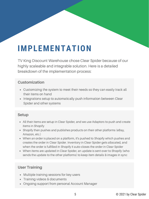### **IMPLEMENTATION**

TV King Discount Warehouse chose Clear Spider because of our highly scaleable and integrable solution. Here is a detailed breakdown of the implementation process:

#### **Customization**

- Customizing the system to meet their needs so they can easily track all their items on hand
- Integrations setup to automatically push information between Clear Spider and other systems

#### **Setup**

- All their items are setup in Clear Spider, and we use Adaptors to push and create items in Shopify
- Shopify then pushes and publishes products on their other platforms (eBay, Amazon, etc.)
- When an order is placed on a platform, it's pushed to Shopify which pushes and creates the order in Clear Spider. Inventory in Clear Spider gets allocated, and when the order is fulfilled in Shopify it auto-closes the order in Clear Spider
- When items are updated in Clear Spider, an update is sent over to Shopify (who sends the update to the other platforms) to keep item details & images in sync

#### **User Training**

- Multiple training sessions for key users
- Training videos & documents
- Ongoing support from personal Account Manager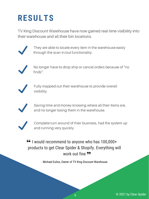### **RESULTS**

TV King Discount Warehouse have now gained real-time visibility into their warehouse and all their bin locations.



They are able to locate every item in the warehouse easily through the scan in/out functionaltiy.



No longer have to drop ship or cancel orders because of "no finds".



Fully mapped out their warehouse to provide overall visibility.



Saving time and money knowing where all their items are, and no longer losing them in the warehouse.



Complete turn around of their business, had the system up and running very quickly.

I would recommend to anyone who has 100,000+ products to get Clear Spider & Shopify. Everything will work out fine 99

- Michael Euliss, Owner of TV King Discount Warehouse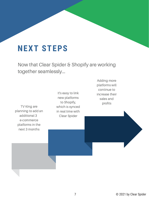### **NEXT STEPS**

Now that Clear Spider & Shopify are working together seamlessly...

TV King are planning to add an additional 3 e-commerce platforms in the next 3 months

It's easy to link new platforms to Shopify, which is synced in real time with Clear Spider

Adding more platforms will continue to increase their sales and profits